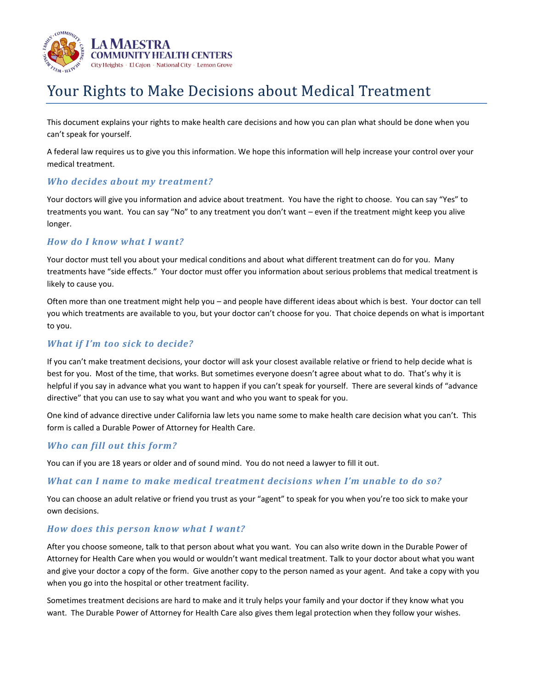

# Your Rights to Make Decisions about Medical Treatment

This document explains your rights to make health care decisions and how you can plan what should be done when you can't speak for yourself.

A federal law requires us to give you this information. We hope this information will help increase your control over your medical treatment.

## *Who decides about my treatment?*

Your doctors will give you information and advice about treatment. You have the right to choose. You can say "Yes" to treatments you want. You can say "No" to any treatment you don't want – even if the treatment might keep you alive longer.

## *How do I know what I want?*

Your doctor must tell you about your medical conditions and about what different treatment can do for you. Many treatments have "side effects." Your doctor must offer you information about serious problems that medical treatment is likely to cause you.

Often more than one treatment might help you – and people have different ideas about which is best. Your doctor can tell you which treatments are available to you, but your doctor can't choose for you. That choice depends on what is important to you.

## *What if I'm too sick to decide?*

If you can't make treatment decisions, your doctor will ask your closest available relative or friend to help decide what is best for you. Most of the time, that works. But sometimes everyone doesn't agree about what to do. That's why it is helpful if you say in advance what you want to happen if you can't speak for yourself. There are several kinds of "advance directive" that you can use to say what you want and who you want to speak for you.

One kind of advance directive under California law lets you name some to make health care decision what you can't. This form is called a Durable Power of Attorney for Health Care.

## *Who can fill out this form?*

You can if you are 18 years or older and of sound mind. You do not need a lawyer to fill it out.

## *What can I name to make medical treatment decisions when I'm unable to do so?*

You can choose an adult relative or friend you trust as your "agent" to speak for you when you're too sick to make your own decisions.

## *How does this person know what I want?*

After you choose someone, talk to that person about what you want. You can also write down in the Durable Power of Attorney for Health Care when you would or wouldn't want medical treatment. Talk to your doctor about what you want and give your doctor a copy of the form. Give another copy to the person named as your agent. And take a copy with you when you go into the hospital or other treatment facility.

Sometimes treatment decisions are hard to make and it truly helps your family and your doctor if they know what you want. The Durable Power of Attorney for Health Care also gives them legal protection when they follow your wishes.